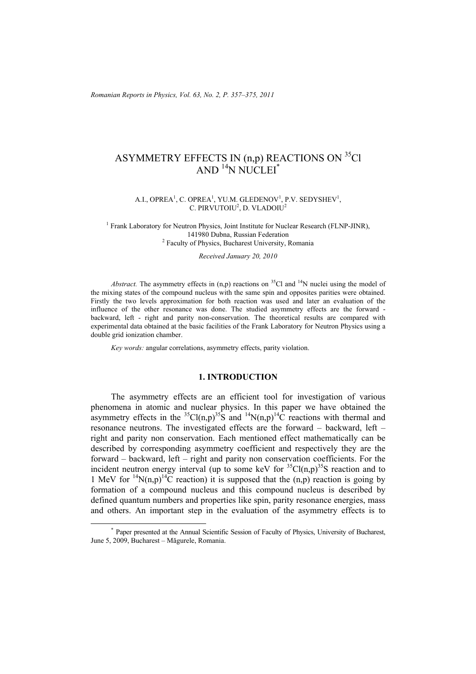*Romanian Reports in Physics, Vol. 63, No. 2, P. 357–375, 2011*

# ASYMMETRY EFFECTS IN (n,p) REACTIONS ON <sup>35</sup>Cl AND<sup>14</sup>N NUCLEI<sup>\*</sup>

#### A.I., OPREA<sup>1</sup>, C. OPREA<sup>1</sup>, YU.M. GLEDENOV<sup>1</sup>, P.V. SEDYSHEV<sup>1</sup>, C. PIRVUTOIU<sup>2</sup>, D. VLADOIU<sup>2</sup>

<sup>1</sup> Frank Laboratory for Neutron Physics, Joint Institute for Nuclear Research (FLNP-JINR), 141980 Dubna, Russian Federation 2 <sup>2</sup> Faculty of Physics, Bucharest University, Romania

*Received January 20, 2010* 

*Abstract.* The asymmetry effects in  $(n,p)$  reactions on <sup>35</sup>Cl and <sup>14</sup>N nuclei using the model of the mixing states of the compound nucleus with the same spin and opposites parities were obtained. Firstly the two levels approximation for both reaction was used and later an evaluation of the influence of the other resonance was done. The studied asymmetry effects are the forward backward, left - right and parity non-conservation. The theoretical results are compared with experimental data obtained at the basic facilities of the Frank Laboratory for Neutron Physics using a double grid ionization chamber.

*Key words:* angular correlations, asymmetry effects, parity violation.

# **1. INTRODUCTION**

 The asymmetry effects are an efficient tool for investigation of various phenomena in atomic and nuclear physics. In this paper we have obtained the asymmetry effects in the <sup>35</sup>Cl(n,p)<sup>35</sup>S and <sup>14</sup>N(n,p)<sup>14</sup>C reactions with thermal and resonance neutrons. The investigated effects are the forward – backward, left – right and parity non conservation. Each mentioned effect mathematically can be described by corresponding asymmetry coefficient and respectively they are the forward – backward, left – right and parity non conservation coefficients. For the incident neutron energy interval (up to some keV for  ${}^{35}Cl(n,p){}^{35}S$  reaction and to 1 MeV for <sup>14</sup>N(n,p)<sup>14</sup>C reaction) it is supposed that the (n,p) reaction is going by formation of a compound nucleus and this compound nucleus is described by defined quantum numbers and properties like spin, parity resonance energies, mass and others. An important step in the evaluation of the asymmetry effects is to

 <sup>\*</sup> Paper presented at the Annual Scientific Session of Faculty of Physics, University of Bucharest, June 5, 2009, Bucharest – Măgurele, Romania.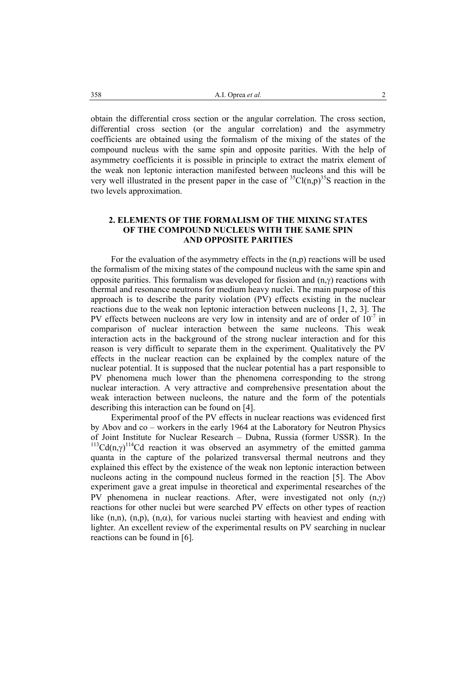obtain the differential cross section or the angular correlation. The cross section, differential cross section (or the angular correlation) and the asymmetry coefficients are obtained using the formalism of the mixing of the states of the compound nucleus with the same spin and opposite parities. With the help of asymmetry coefficients it is possible in principle to extract the matrix element of the weak non leptonic interaction manifested between nucleons and this will be very well illustrated in the present paper in the case of  ${}^{35}Cl(n,p){}^{35}S$  reaction in the two levels approximation.

# **2. ELEMENTS OF THE FORMALISM OF THE MIXING STATES OF THE COMPOUND NUCLEUS WITH THE SAME SPIN AND OPPOSITE PARITIES**

For the evaluation of the asymmetry effects in the (n,p) reactions will be used the formalism of the mixing states of the compound nucleus with the same spin and opposite parities. This formalism was developed for fission and  $(n, \gamma)$  reactions with thermal and resonance neutrons for medium heavy nuclei. The main purpose of this approach is to describe the parity violation (PV) effects existing in the nuclear reactions due to the weak non leptonic interaction between nucleons [1, 2, 3]. The PV effects between nucleons are very low in intensity and are of order of  $10^{-7}$  in comparison of nuclear interaction between the same nucleons. This weak interaction acts in the background of the strong nuclear interaction and for this reason is very difficult to separate them in the experiment. Qualitatively the PV effects in the nuclear reaction can be explained by the complex nature of the nuclear potential. It is supposed that the nuclear potential has a part responsible to PV phenomena much lower than the phenomena corresponding to the strong nuclear interaction. A very attractive and comprehensive presentation about the weak interaction between nucleons, the nature and the form of the potentials describing this interaction can be found on [4].

Experimental proof of the PV effects in nuclear reactions was evidenced first by Abov and co – workers in the early 1964 at the Laboratory for Neutron Physics of Joint Institute for Nuclear Research – Dubna, Russia (former USSR). In the <sup>113</sup>Cd(n,γ)<sup>114</sup>Cd reaction it was observed an asymmetry of the emitted gamma quanta in the capture of the polarized transversal thermal neutrons and they explained this effect by the existence of the weak non leptonic interaction between nucleons acting in the compound nucleus formed in the reaction [5]. The Abov experiment gave a great impulse in theoretical and experimental researches of the PV phenomena in nuclear reactions. After, were investigated not only  $(n, \gamma)$ reactions for other nuclei but were searched PV effects on other types of reaction like (n,n), (n,p), (n, $\alpha$ ), for various nuclei starting with heaviest and ending with lighter. An excellent review of the experimental results on PV searching in nuclear reactions can be found in [6].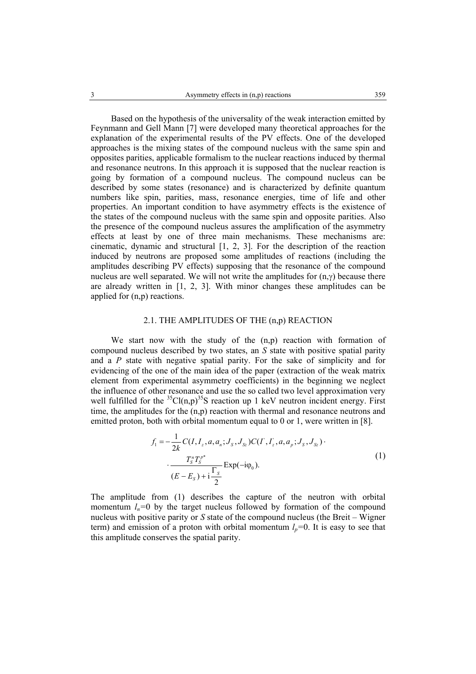Based on the hypothesis of the universality of the weak interaction emitted by Feynmann and Gell Mann [7] were developed many theoretical approaches for the explanation of the experimental results of the PV effects. One of the developed approaches is the mixing states of the compound nucleus with the same spin and opposites parities, applicable formalism to the nuclear reactions induced by thermal and resonance neutrons. In this approach it is supposed that the nuclear reaction is going by formation of a compound nucleus. The compound nucleus can be described by some states (resonance) and is characterized by definite quantum numbers like spin, parities, mass, resonance energies, time of life and other properties. An important condition to have asymmetry effects is the existence of the states of the compound nucleus with the same spin and opposite parities. Also the presence of the compound nucleus assures the amplification of the asymmetry effects at least by one of three main mechanisms. These mechanisms are: cinematic, dynamic and structural [1, 2, 3]. For the description of the reaction induced by neutrons are proposed some amplitudes of reactions (including the amplitudes describing PV effects) supposing that the resonance of the compound nucleus are well separated. We will not write the amplitudes for  $(n, \gamma)$  because there are already written in [1, 2, 3]. With minor changes these amplitudes can be applied for (n,p) reactions.

### 2.1. THE AMPLITUDES OF THE (n,p) REACTION

We start now with the study of the  $(n,p)$  reaction with formation of compound nucleus described by two states, an *S* state with positive spatial parity and a *P* state with negative spatial parity. For the sake of simplicity and for evidencing of the one of the main idea of the paper (extraction of the weak matrix element from experimental asymmetry coefficients) in the beginning we neglect the influence of other resonance and use the so called two level approximation very well fulfilled for the  ${}^{35}Cl(n,p)$ <sup>35</sup>S reaction up 1 keV neutron incident energy. First time, the amplitudes for the (n,p) reaction with thermal and resonance neutrons and emitted proton, both with orbital momentum equal to 0 or 1, were written in [8].

$$
f_1 = -\frac{1}{2k} C(I, I_z, a, a_n; J_s, J_{s2}) C(I', I'_z, a, a_p; J_s, J_{s2}) \cdot \frac{T_s^n T_s^{p^*}}{(E - E_s) + i \frac{\Gamma_s}{2}} Exp(-i\varphi_0).
$$
\n(1)

The amplitude from (1) describes the capture of the neutron with orbital momentum  $l_n=0$  by the target nucleus followed by formation of the compound nucleus with positive parity or *S* state of the compound nucleus (the Breit – Wigner term) and emission of a proton with orbital momentum  $l_p=0$ . It is easy to see that this amplitude conserves the spatial parity.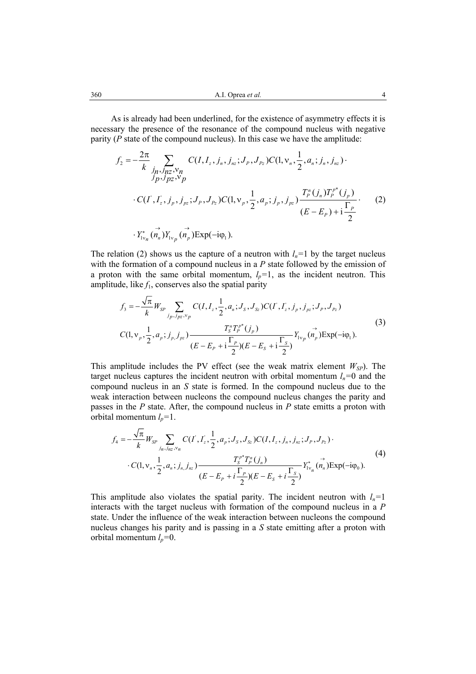As is already had been underlined, for the existence of asymmetry effects it is necessary the presence of the resonance of the compound nucleus with negative parity (*P* state of the compound nucleus). In this case we have the amplitude:

$$
f_2 = -\frac{2\pi}{k} \sum_{j_p, j_{RZ}, v_p} C(I, I_z, j_n, j_{nz}; J_p, J_{p_z}) C(1, v_n, \frac{1}{2}, a_n; j_n, j_{nz})
$$
  
\n
$$
C(I', I_z', j_p, j_{pz}; J_p, J_{p_z}) C(1, v_p, \frac{1}{2}, a_p; j_p, j_{pz}) \frac{T_p^n(j_n)T_p^{p*}(j_p)}{(E - E_p) + i\frac{\Gamma_p}{2}}
$$
  
\n
$$
\cdot Y_{1v_n}^*(n_n) Y_{1v_p}(n_p) \text{Exp}(-i\varphi_1).
$$
 (2)

The relation (2) shows us the capture of a neutron with  $l_n=1$  by the target nucleus with the formation of a compound nucleus in a *P* state followed by the emission of a proton with the same orbital momentum,  $l_p=1$ , as the incident neutron. This amplitude, like  $f_1$ , conserves also the spatial parity

$$
f_3 = -\frac{\sqrt{\pi}}{k} W_{SP} \sum_{j_p, j_{pz}, v_p} C(I, I_z, \frac{1}{2}, a_n; J_S, J_{Sz}) C(I', I_z', j_p, j_{pz}; J_p, J_{Pz})
$$
  
\n
$$
C(1, v_p, \frac{1}{2}, a_p; j_{p, j_{pz}}) \frac{T_s^{\pi} T_p^{\rho^*}(j_p)}{(E - E_p + i \frac{\Gamma_p}{2})(E - E_s + i \frac{\Gamma_s}{2})} Y_{1v_p} (n_p) \exp(-i\varphi_1).
$$
\n(3)

This amplitude includes the PV effect (see the weak matrix element  $W_{SP}$ ). The target nucleus captures the incident neutron with orbital momentum  $l_n=0$  and the compound nucleus in an *S* state is formed. In the compound nucleus due to the weak interaction between nucleons the compound nucleus changes the parity and passes in the *P* state. After, the compound nucleus in *P* state emitts a proton with orbital momentum  $l_p=1$ .

$$
f_{4} = -\frac{\sqrt{\pi}}{k} W_{SP} \sum_{j_{n},j_{n2},\nu_{n}} C(I', I'_{z}, \frac{1}{2}, a_{p}; J_{S}, J_{Sz}) C(I, I_{z}, j_{n}, j_{nz}; J_{P}, J_{Pz}) \cdot C(I, \nu_{n}, \frac{1}{2}, a_{n}; j_{n}, j_{nz}) \frac{T_{S}^{p^{*}} T_{P}^{n}(j_{n})}{(E - E_{P} + i \frac{\Gamma_{P}}{2})(E - E_{S} + i \frac{\Gamma_{S}}{2})} Y_{1\nu_{n}}^{*}(\vec{n_{n}}) \exp(-i\varphi_{0}).
$$
\n(4)

This amplitude also violates the spatial parity. The incident neutron with  $l_n=1$ interacts with the target nucleus with formation of the compound nucleus in a *P*  state. Under the influence of the weak interaction between nucleons the compound nucleus changes his parity and is passing in a *S* state emitting after a proton with orbital momentum *lp=*0.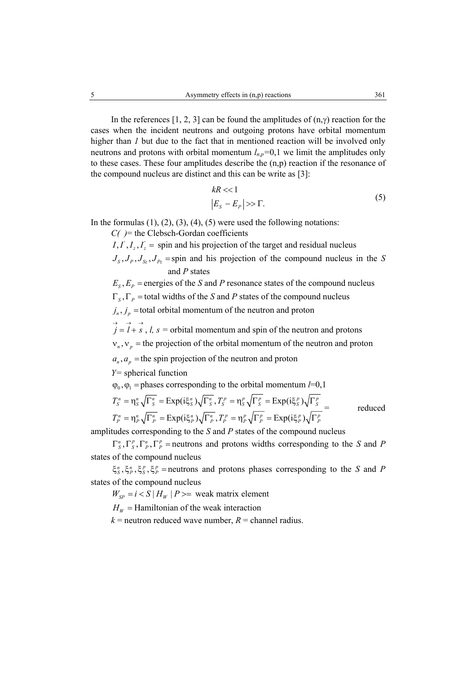In the references [1, 2, 3] can be found the amplitudes of  $(n, \gamma)$  reaction for the cases when the incident neutrons and outgoing protons have orbital momentum higher than *I* but due to the fact that in mentioned reaction will be involved only neutrons and protons with orbital momentum  $l_{n,p}=0,1$  we limit the amplitudes only to these cases. These four amplitudes describe the (n,p) reaction if the resonance of the compound nucleus are distinct and this can be write as [3]:

$$
kR \ll 1
$$
  
\n
$$
|E_s - E_p| \gg \Gamma.
$$
 (5)

In the formulas  $(1)$ ,  $(2)$ ,  $(3)$ ,  $(4)$ ,  $(5)$  were used the following notations:

*C( )*= the Clebsch-Gordan coefficients

 $I, I', I_z, I_z'$  = spin and his projection of the target and residual nucleus

 $J_s$ ,  $J_p$ ,  $J_{s_z}$ ,  $J_{p_z}$  =spin and his projection of the compound nucleus in the *S* and *P* states

 $E_s$ ,  $E_p$  = energies of the *S* and *P* resonance states of the compound nucleus

 $\Gamma_s$ ,  $\Gamma_p$  = total widths of the *S* and *P* states of the compound nucleus

 $j_n$ ,  $j_p$  =total orbital momentum of the neutron and proton

 $\overrightarrow{j} = \overrightarrow{l} + \overrightarrow{s}$ , *l, s* = orbital momentum and spin of the neutron and protons

 $v_n$ ,  $v_n$  = the projection of the orbital momentum of the neutron and proton

 $a_n$ ,  $a_n$  = the spin projection of the neutron and proton

*Y=* spherical function

 $\varphi_0$ ,  $\varphi_1$  = phases corresponding to the orbital momentum *l*=0,1

$$
T_s^n = \eta_s^n \sqrt{\Gamma_s^n} = \text{Exp}(i\xi_s^n) \sqrt{\Gamma_s^n}, T_s^p = \eta_s^p \sqrt{\Gamma_s^p} = \text{Exp}(i\xi_s^p) \sqrt{\Gamma_s^p}
$$
  

$$
T_p^n = \eta_p^n \sqrt{\Gamma_p^n} = \text{Exp}(i\xi_p^n) \sqrt{\Gamma_p^n}, T_p^p = \eta_p^n \sqrt{\Gamma_p^p} = \text{Exp}(i\xi_p^n) \sqrt{\Gamma_p^p}
$$
 reduced

amplitudes corresponding to the *S* and *P* states of the compound nucleus

 $\Gamma_{S}^{n}, \Gamma_{S}^{p}, \Gamma_{P}^{n}$  = neutrons and protons widths corresponding to the *S* and *P* states of the compound nucleus

 $\xi_s^n$ ,  $\xi_p^n$ ,  $\xi_s^p$ ,  $\xi_p^p$  = neutrons and protons phases corresponding to the *S* and *P* states of the compound nucleus

 $W_{SP} = i < S | H_W | P \ge$  weak matrix element

 $H_w$  = Hamiltonian of the weak interaction

 $k$  = neutron reduced wave number,  $R$  = channel radius.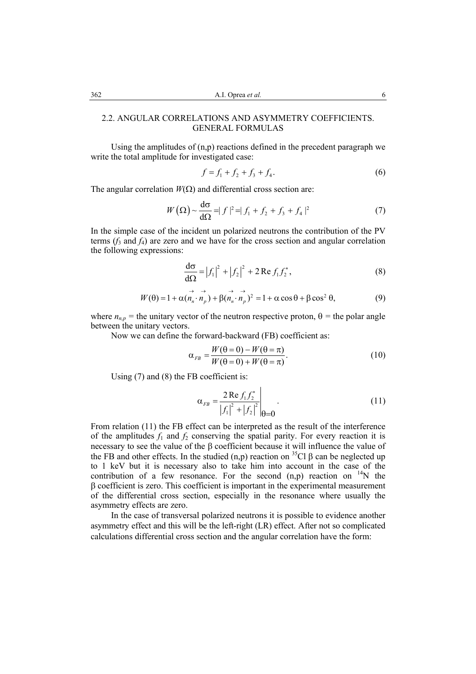# 2.2. ANGULAR CORRELATIONS AND ASYMMETRY COEFFICIENTS. GENERAL FORMULAS

 Using the amplitudes of (n,p) reactions defined in the precedent paragraph we write the total amplitude for investigated case:

$$
f = f_1 + f_2 + f_3 + f_4. \tag{6}
$$

The angular correlation  $W(\Omega)$  and differential cross section are:

$$
W\left(\Omega\right) \sim \frac{d\sigma}{d\Omega} = |f|^2 = |f_1 + f_2 + f_3 + f_4|^2 \tag{7}
$$

In the simple case of the incident un polarized neutrons the contribution of the PV terms  $(f_3$  and  $f_4$ ) are zero and we have for the cross section and angular correlation the following expressions:

$$
\frac{d\sigma}{d\Omega} = |f_1|^2 + |f_2|^2 + 2 \operatorname{Re} f_1 f_2^*,
$$
 (8)

$$
W(\theta) = 1 + \alpha (\vec{n}_n \cdot \vec{n}_p) + \beta (\vec{n}_n \cdot \vec{n}_p)^2 = 1 + \alpha \cos \theta + \beta \cos^2 \theta,
$$
 (9)

where  $n_{n,p}$  = the unitary vector of the neutron respective proton,  $\theta$  = the polar angle between the unitary vectors.

Now we can define the forward-backward (FB) coefficient as:

$$
\alpha_{FB} = \frac{W(\theta = 0) - W(\theta = \pi)}{W(\theta = 0) + W(\theta = \pi)}.
$$
\n(10)

Using (7) and (8) the FB coefficient is:

$$
\alpha_{FB} = \frac{2 \operatorname{Re} f_1 f_2^*}{|f_1|^2 + |f_2|^2} \bigg|_{\theta=0}.
$$
 (11)

From relation (11) the FB effect can be interpreted as the result of the interference of the amplitudes  $f_1$  and  $f_2$  conserving the spatial parity. For every reaction it is necessary to see the value of the β coefficient because it will influence the value of the FB and other effects. In the studied  $(n,p)$  reaction on <sup>35</sup>Cl  $\beta$  can be neglected up to 1 keV but it is necessary also to take him into account in the case of the contribution of a few resonance. For the second  $(n,p)$  reaction on <sup>14</sup>N the β coefficient is zero. This coefficient is important in the experimental measurement of the differential cross section, especially in the resonance where usually the asymmetry effects are zero.

 In the case of transversal polarized neutrons it is possible to evidence another asymmetry effect and this will be the left-right (LR) effect. After not so complicated calculations differential cross section and the angular correlation have the form: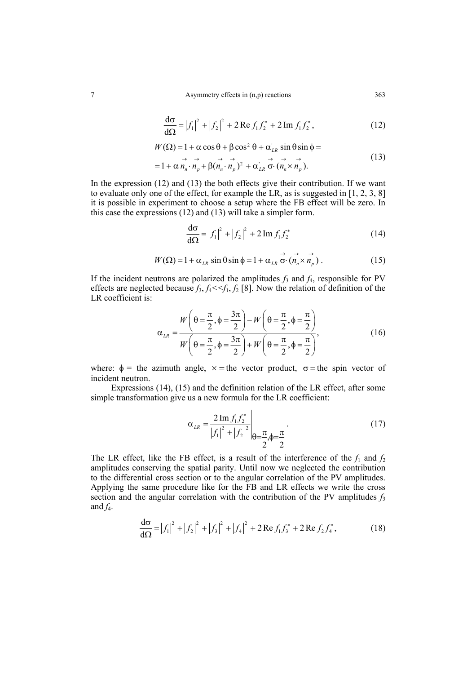$$
\frac{d\sigma}{d\Omega} = |f_1|^2 + |f_2|^2 + 2 \operatorname{Re} f_1 f_2^* + 2 \operatorname{Im} f_1 f_2^*,
$$
 (12)

$$
W(\Omega) = 1 + \alpha \cos \theta + \beta \cos^2 \theta + \alpha'_{LR} \sin \theta \sin \phi =
$$

$$
= 1 + \alpha \stackrel{\rightarrow}{n_n} \cdot \stackrel{\rightarrow}{n_p} + \beta (n_n \cdot \stackrel{\rightarrow}{n_p})^2 + \alpha_{LR} \stackrel{\rightarrow}{\sigma} \cdot (n_n \times n_p).
$$
 (13)

In the expression  $(12)$  and  $(13)$  the both effects give their contribution. If we want to evaluate only one of the effect, for example the LR, as is suggested in [1, 2, 3, 8] it is possible in experiment to choose a setup where the FB effect will be zero. In this case the expressions (12) and (13) will take a simpler form.

$$
\frac{d\sigma}{d\Omega} = |f_1|^2 + |f_2|^2 + 2 \operatorname{Im} f_1 f_2^* \tag{14}
$$

→→ → → →

$$
W(\Omega) = 1 + \alpha_{LR} \sin \theta \sin \phi = 1 + \alpha_{LR} \sigma \cdot (n_n \times n_p) \,. \tag{15}
$$

If the incident neutrons are polarized the amplitudes  $f_3$  and  $f_4$ , responsible for PV effects are neglected because  $f_3, f_4 < f_1, f_2$  [8]. Now the relation of definition of the LR coefficient is:

$$
\alpha_{LR} = \frac{W\left(\theta = \frac{\pi}{2}, \phi = \frac{3\pi}{2}\right) - W\left(\theta = \frac{\pi}{2}, \phi = \frac{\pi}{2}\right)}{W\left(\theta = \frac{\pi}{2}, \phi = \frac{3\pi}{2}\right) + W\left(\theta = \frac{\pi}{2}, \phi = \frac{\pi}{2}\right)},
$$
\n(16)

where:  $\phi$  = the azimuth angle,  $x$  = the vector product,  $\sigma$  = the spin vector of incident neutron.

Expressions (14), (15) and the definition relation of the LR effect, after some simple transformation give us a new formula for the LR coefficient:

$$
\alpha_{LR} = \frac{2 \operatorname{Im} f_1 f_2^*}{|f_1|^2 + |f_2|^2} \bigg|_{\theta = \frac{\pi}{2}, \phi = \frac{\pi}{2}}.
$$
(17)

The LR effect, like the FB effect, is a result of the interference of the  $f_1$  and  $f_2$ amplitudes conserving the spatial parity. Until now we neglected the contribution to the differential cross section or to the angular correlation of the PV amplitudes. Applying the same procedure like for the FB and LR effects we write the cross section and the angular correlation with the contribution of the PV amplitudes  $f_3$ and  $f_4$ .

$$
\frac{d\sigma}{d\Omega} = |f_1|^2 + |f_2|^2 + |f_3|^2 + |f_4|^2 + 2 \operatorname{Re} f_1 f_3^* + 2 \operatorname{Re} f_2 f_4^*,
$$
\n(18)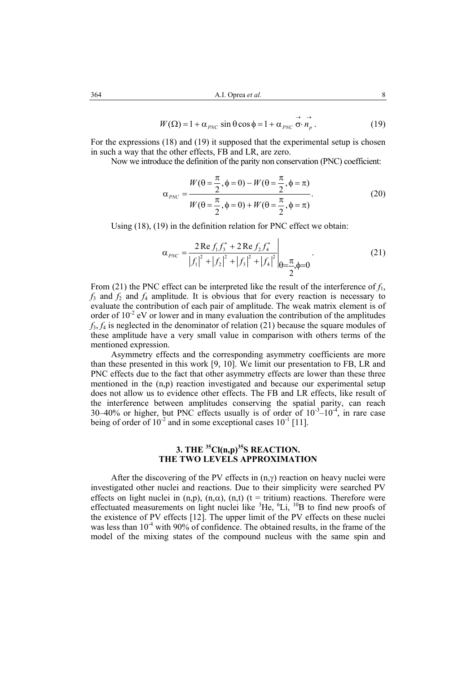$$
W(\Omega) = 1 + \alpha_{PNC} \sin \theta \cos \phi = 1 + \alpha_{PNC} \stackrel{\rightarrow}{\sigma} \stackrel{\rightarrow}{n_p}.
$$
 (19)

For the expressions (18) and (19) it supposed that the experimental setup is chosen in such a way that the other effects, FB and LR, are zero.

Now we introduce the definition of the parity non conservation (PNC) coefficient:

$$
\alpha_{PNC} = \frac{W(\theta = \frac{\pi}{2}, \phi = 0) - W(\theta = \frac{\pi}{2}, \phi = \pi)}{W(\theta = \frac{\pi}{2}, \phi = 0) + W(\theta = \frac{\pi}{2}, \phi = \pi)}.
$$
\n(20)

Using (18), (19) in the definition relation for PNC effect we obtain:

$$
\alpha_{PNC} = \frac{2 \operatorname{Re} f_1 f_3^* + 2 \operatorname{Re} f_2 f_4^*}{|f_1|^2 + |f_2|^2 + |f_3|^2 + |f_4|^2} \bigg|_{\theta = \frac{\pi}{2}, \phi = 0}.
$$
 (21)

From (21) the PNC effect can be interpreted like the result of the interference of *f*1,  $f_3$  and  $f_2$  and  $f_4$  amplitude. It is obvious that for every reaction is necessary to evaluate the contribution of each pair of amplitude. The weak matrix element is of order of  $10^{-2}$  eV or lower and in many evaluation the contribution of the amplitudes  $f_3$ ,  $f_4$  is neglected in the denominator of relation (21) because the square modules of these amplitude have a very small value in comparison with others terms of the mentioned expression.

 Asymmetry effects and the corresponding asymmetry coefficients are more than these presented in this work [9, 10]. We limit our presentation to FB, LR and PNC effects due to the fact that other asymmetry effects are lower than these three mentioned in the  $(n,p)$  reaction investigated and because our experimental setup does not allow us to evidence other effects. The FB and LR effects, like result of the interference between amplitudes conserving the spatial parity, can reach 30–40% or higher, but PNC effects usually is of order of  $10^{-3}$ – $10^{-4}$ , in rare case being of order of  $10^{-2}$  and in some exceptional cases  $10^{-1}$  [11].

# **3. THE <sup>35</sup>Cl(n,p)<sup>35</sup>S REACTION. THE TWO LEVELS APPROXIMATION**

After the discovering of the PV effects in  $(n, \gamma)$  reaction on heavy nuclei were investigated other nuclei and reactions. Due to their simplicity were searched PV effects on light nuclei in (n,p), (n, $\alpha$ ), (n,t) (t = tritium) reactions. Therefore were effectuated measurements on light nuclei like  ${}^{3}$ He,  ${}^{6}$ Li,  ${}^{10}$ B to find new proofs of the existence of PV effects [12]. The upper limit of the PV effects on these nuclei was less than  $10^{-4}$  with 90% of confidence. The obtained results, in the frame of the model of the mixing states of the compound nucleus with the same spin and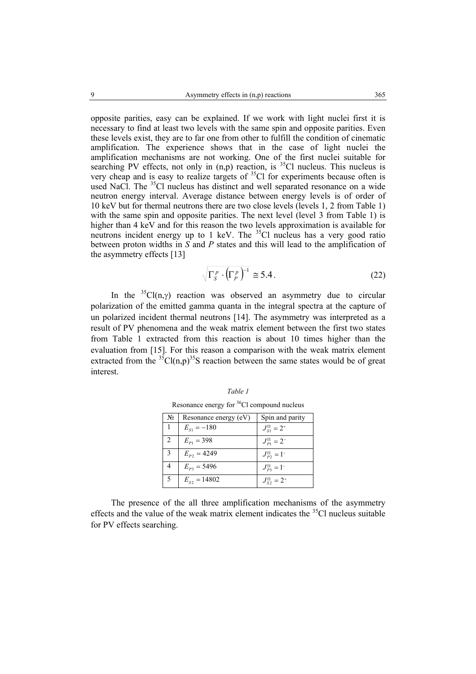opposite parities, easy can be explained. If we work with light nuclei first it is necessary to find at least two levels with the same spin and opposite parities. Even these levels exist, they are to far one from other to fulfill the condition of cinematic amplification. The experience shows that in the case of light nuclei the amplification mechanisms are not working. One of the first nuclei suitable for searching PV effects, not only in  $(n,p)$  reaction, is <sup>35</sup>Cl nucleus. This nucleus is very cheap and is easy to realize targets of  $35^{\circ}$ Cl for experiments because often is used NaCl. The  ${}^{35}$ Cl nucleus has distinct and well separated resonance on a wide neutron energy interval. Average distance between energy levels is of order of 10 keV but for thermal neutrons there are two close levels (levels 1, 2 from Table 1) with the same spin and opposite parities. The next level (level 3 from Table 1) is higher than 4 keV and for this reason the two levels approximation is available for neutrons incident energy up to 1 keV. The  $35$ Cl nucleus has a very good ratio between proton widths in *S* and *P* states and this will lead to the amplification of the asymmetry effects [13]

$$
\sqrt{\Gamma_S^p \cdot \left(\Gamma_P^p\right)^{-1}} \cong 5.4\,. \tag{22}
$$

In the <sup>35</sup>Cl(n,γ) reaction was observed an asymmetry due to circular polarization of the emitted gamma quanta in the integral spectra at the capture of un polarized incident thermal neutrons [14]. The asymmetry was interpreted as a result of PV phenomena and the weak matrix element between the first two states from Table 1 extracted from this reaction is about 10 times higher than the evaluation from [15]. For this reason a comparison with the weak matrix element extracted from the  ${}^{35}Cl(n,p){}^{35}S$  reaction between the same states would be of great interest.

| N <sub>2</sub> | Resonance energy (eV) | Spin and parity             |
|----------------|-----------------------|-----------------------------|
|                | $E_{S1} = -180$       | $J_{\rm SI}^{\rm II} = 2^*$ |
| 2              | $E_{p_1} = 398$       | $J_{p_1}^{\rm H}=2^-$       |
| $\mathcal{R}$  | $E_{P2} = 4249$       | $J_{p_2}^{\Pi} = 1^{-}$     |
|                | $E_{P3} = 5496$       | $J_{P3}^{\Pi} = 1^{-}$      |
| -5             | $E_{s2} = 14802$      | $J_{S2}^{\Pi} = 2^+$        |

*Table 1*  Resonance energy for 36Cl compound nucleus

The presence of the all three amplification mechanisms of the asymmetry effects and the value of the weak matrix element indicates the  $35<sup>5</sup>C1$  nucleus suitable for PV effects searching.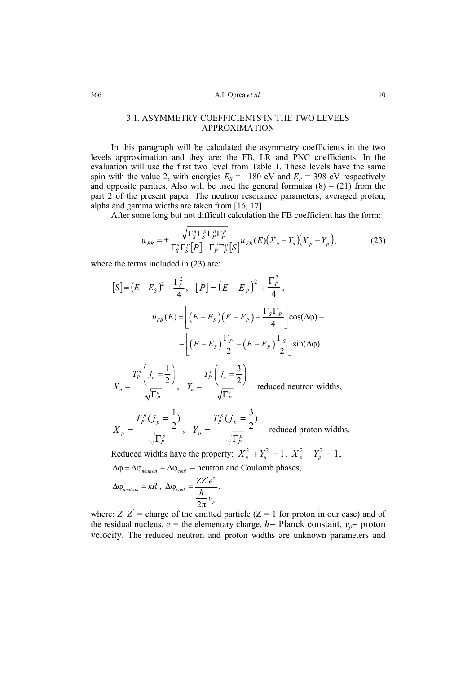# 3.1. ASYMMETRY COEFFICIENTS IN THE TWO LEVELS APPROXIMATION

 In this paragraph will be calculated the asymmetry coefficients in the two levels approximation and they are: the FB, LR and PNC coefficients. In the evaluation will use the first two level from Table 1. These levels have the same spin with the value 2, with energies  $E_S = -180$  eV and  $E_P = 398$  eV respectively and opposite parities. Also will be used the general formulas  $(8) - (21)$  from the part 2 of the present paper. The neutron resonance parameters, averaged proton, alpha and gamma widths are taken from [16, 17].

After some long but not difficult calculation the FB coefficient has the form:

$$
\alpha_{FB} = \pm \frac{\sqrt{\Gamma_S^n \Gamma_S^p \Gamma_P^n \Gamma_P^p}}{\Gamma_S^n \Gamma_S^n \Gamma_S^n \left[P\right] + \Gamma_P^n \Gamma_P^n \left[S\right]} u_{FB}(E) \left(X_n - Y_n \right) \left(X_p - Y_p\right),\tag{23}
$$

where the terms included in  $(23)$  are:

$$
[S] = (E - E_S)^2 + \frac{\Gamma_S^2}{4}, \quad [P] = (E - E_P)^2 + \frac{\Gamma_P^2}{4},
$$
  

$$
u_{FB}(E) = \left[ (E - E_S)(E - E_P) + \frac{\Gamma_S \Gamma_P}{4} \right] \cos(\Delta \varphi) -
$$

$$
- \left[ (E - E_S)\frac{\Gamma_P}{2} - (E - E_P)\frac{\Gamma_S}{2} \right] \sin(\Delta \varphi).
$$
  

$$
X_n = \frac{T_p^n \left( j_n = \frac{1}{2} \right)}{\sqrt{\Gamma_P^n}}, \quad Y_n = \frac{T_p^n \left( j_n = \frac{3}{2} \right)}{\sqrt{\Gamma_P^n}} - \text{reduced neutron widths},
$$
  

$$
T_p^p (j_n = \frac{1}{2}) \qquad T_p^p (j_n = \frac{3}{2})
$$

$$
X_p = \frac{T_p^p(j_p = \frac{1}{2})}{\sqrt{\Gamma_p^p}}, \quad Y_p = \frac{T_p^p(j_p = \frac{3}{2})}{\sqrt{\Gamma_p^p}}
$$
 – reduced proton widths.

Reduced widths have the property:  $X_n^2 + Y_n^2 = 1$ ,  $X_p^2 + Y_p^2 = 1$ ,  $Δφ = Δφ<sub>neutron</sub> + Δφ<sub>coll</sub>$  – neutron and Coulomb phases,  $ZZ^{\dagger}$ 

$$
\Delta \varphi_{neutron} = kR , \ \Delta \varphi_{coul} = \frac{ZZ'e^2}{\frac{h}{2\pi}v_p},
$$

where: *Z*,  $Z'$  = charge of the emitted particle ( $Z = 1$  for proton in our case) and of the residual nucleus,  $e =$  the elementary charge,  $h =$  Planck constant,  $v_p$ = proton velocity. The reduced neutron and proton widths are unknown parameters and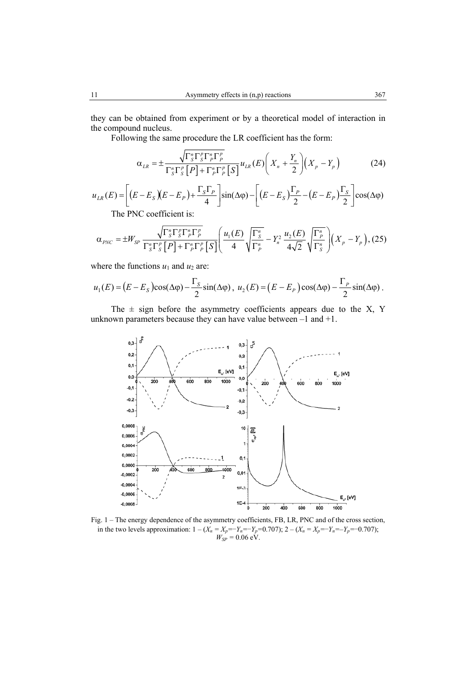they can be obtained from experiment or by a theoretical model of interaction in the compound nucleus.

Following the same procedure the LR coefficient has the form:

$$
\alpha_{LR} = \pm \frac{\sqrt{\Gamma_S^n \Gamma_P^n \Gamma_P^n}}{\Gamma_S^n \Gamma_S^n \left[P\right] + \Gamma_P^n \Gamma_P^n \left[S\right]} u_{LR}(E) \left(X_n + \frac{Y_n}{2}\right) \left(X_p - Y_p\right) \tag{24}
$$

$$
u_{LR}(E) = \left[ (E - E_s)(E - E_P) + \frac{\Gamma_s \Gamma_p}{4} \right] \sin(\Delta \varphi) - \left[ (E - E_s) \frac{\Gamma_p}{2} - (E - E_P) \frac{\Gamma_s}{2} \right] \cos(\Delta \varphi)
$$
  
The PNG coefficient in

The PNC coefficient is:

$$
\alpha_{PNC} = \pm W_{SP} \frac{\sqrt{\Gamma_S^n \Gamma_S^n \Gamma_P^n \Gamma_P^n}}{\Gamma_S^n \Gamma_S^n \left[P\right] + \Gamma_P^n \Gamma_P^n \left[S\right]} \left(\frac{u_1(E)}{4} \sqrt{\frac{\Gamma_S^n}{\Gamma_P^n}} - Y_n^2 \frac{u_2(E)}{4\sqrt{2}} \sqrt{\frac{\Gamma_P^n}{\Gamma_S^n}}\right) \left(X_p - Y_p\right), (25)
$$

where the functions  $u_1$  and  $u_2$  are:

$$
u_1(E) = (E - E_S)\cos(\Delta\varphi) - \frac{\Gamma_S}{2}\sin(\Delta\varphi), \ u_2(E) = (E - E_P)\cos(\Delta\varphi) - \frac{\Gamma_P}{2}\sin(\Delta\varphi).
$$

The  $\pm$  sign before the asymmetry coefficients appears due to the X, Y unknown parameters because they can have value between –1 and +1.



Fig. 1 – The energy dependence of the asymmetry coefficients, FB, LR, PNC and of the cross section, in the two levels approximation:  $1 - (X_n = X_p = Y_n = -Y_p = 0.707)$ ;  $2 - (X_n = X_p = Y_n = -Y_p = -0.707)$ ;  $W_{SP} = 0.06 \text{ eV}.$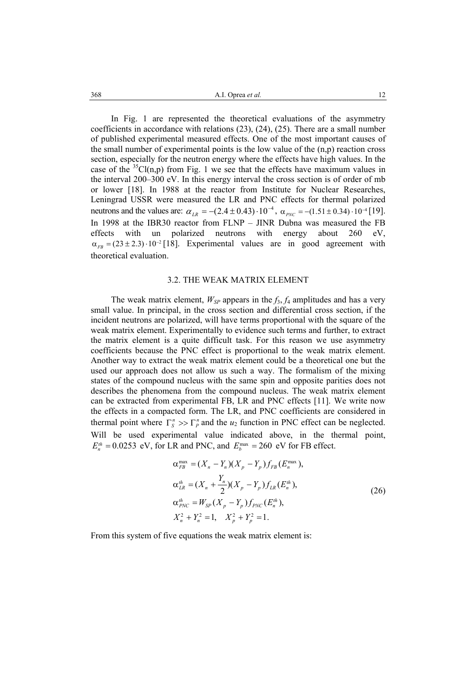A.I. Oprea 368 *et al.* 12

In Fig. 1 are represented the theoretical evaluations of the asymmetry coefficients in accordance with relations (23), (24), (25). There are a small number of published experimental measured effects. One of the most important causes of the small number of experimental points is the low value of the (n,p) reaction cross section, especially for the neutron energy where the effects have high values. In the case of the  ${}^{35}Cl(n,p)$  from Fig. 1 we see that the effects have maximum values in the interval 200–300 eV. In this energy interval the cross section is of order of mb or lower [18]. In 1988 at the reactor from Institute for Nuclear Researches, Leningrad USSR were measured the LR and PNC effects for thermal polarized neutrons and the values are:  $\alpha_{LR} = -(2.4 \pm 0.43) \cdot 10^{-4}$ ,  $\alpha_{PNC} = -(1.51 \pm 0.34) \cdot 10^{-4}$  [19]. In 1998 at the IBR30 reactor from FLNP – JINR Dubna was measured the FB effects with un polarized neutrons with energy about 260 eV,  $\alpha_{FB} = (23 \pm 2.3) \cdot 10^{-2}$  [18]. Experimental values are in good agreement with  $\alpha_{\text{ER}} = (23 \pm 2.3) \cdot 10^{-2}$  [18]. Experimental values are in good agreement with theoretical evaluation.

#### 3.2. THE WEAK MATRIX ELEMENT

The weak matrix element,  $W_{SP}$  appears in the  $f_3$ ,  $f_4$  amplitudes and has a very small value. In principal, in the cross section and differential cross section, if the incident neutrons are polarized, will have terms proportional with the square of the weak matrix element. Experimentally to evidence such terms and further, to extract the matrix element is a quite difficult task. For this reason we use asymmetry coefficients because the PNC effect is proportional to the weak matrix element. Another way to extract the weak matrix element could be a theoretical one but the used our approach does not allow us such a way. The formalism of the mixing states of the compound nucleus with the same spin and opposite parities does not describes the phenomena from the compound nucleus. The weak matrix element can be extracted from experimental FB, LR and PNC effects [11]. We write now the effects in a compacted form. The LR, and PNC coefficients are considered in thermal point where  $\Gamma_s^n \gg \Gamma_p^n$  and the  $u_2$  function in PNC effect can be neglected. Will be used experimental value indicated above, in the thermal point,  $E_n^{th} = 0.0253$  eV, for LR and PNC, and  $E_b^{\text{max}} = 260$  eV for FB effect.

$$
\alpha_{FB}^{\max} = (X_n - Y_n)(X_p - Y_p)f_{FB}(E_n^{\max}),
$$
  
\n
$$
\alpha_{LR}^{th} = (X_n + \frac{Y_n}{2})(X_p - Y_p)f_{LR}(E_n^{\{h\}}),
$$
  
\n
$$
\alpha_{PNC}^{th} = W_{SP}(X_p - Y_p)f_{PNC}(E_n^{\{h\}}),
$$
  
\n
$$
X_n^2 + Y_n^2 = 1, \quad X_p^2 + Y_p^2 = 1.
$$
\n(26)

From this system of five equations the weak matrix element is: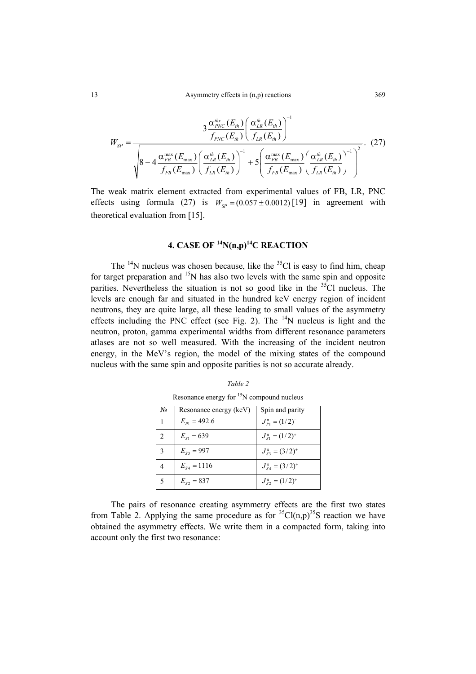$$
W_{SP} = \frac{3 \frac{\alpha_{PNC}^{utx}(E_{th})}{f_{PNC}(E_{th})} \left(\frac{\alpha_{LR}^{u}}{f_{LR}(E_{th})}\right)^{-1}}{\sqrt{8 - 4 \frac{\alpha_{FB}^{max}(E_{max})}{f_{FB}(E_{max})} \left(\frac{\alpha_{LR}^{u}(E_{th})}{f_{LR}(E_{th})}\right)^{-1} + 5 \left(\frac{\alpha_{FB}^{max}(E_{max})}{f_{FB}(E_{max})} \left(\frac{\alpha_{LR}^{u}(E_{th})}{f_{LR}(E_{th})}\right)^{-1}\right)^{2}}}. (27)
$$

The weak matrix element extracted from experimental values of FB, LR, PNC effects using formula (27) is  $W_{SP} = (0.057 \pm 0.0012)$  [19] in agreement with theoretical evaluation from [15].

# **4. CASE OF 14N(n,p)14C REACTION**

The  $14N$  nucleus was chosen because, like the  $35C1$  is easy to find him, cheap for target preparation and  $15N$  has also two levels with the same spin and opposite parities. Nevertheless the situation is not so good like in the  $35C1$  nucleus. The levels are enough far and situated in the hundred keV energy region of incident neutrons, they are quite large, all these leading to small values of the asymmetry effects including the PNC effect (see Fig. 2). The  $14$ N nucleus is light and the neutron, proton, gamma experimental widths from different resonance parameters atlases are not so well measured. With the increasing of the incident neutron energy, in the MeV's region, the model of the mixing states of the compound nucleus with the same spin and opposite parities is not so accurate already.

| Nο                          | Resonance energy (keV) | Spin and parity                |
|-----------------------------|------------------------|--------------------------------|
|                             | $E_{p_1} = 492.6$      | $J_{p_1}^{\pi} = (1/2)^{-1}$   |
| $\mathcal{D}_{\mathcal{A}}$ | $E_{\rm st} = 639$     | $J_{S_1}^{\pi} = (1/2)^+$      |
| 3                           | $E_{s3} = 997$         | $J_{S_3}^{\pi} = (3/2)^+$      |
|                             | $E_{S4} = 1116$        | $J_{SA}^{\pi} = (3/2)^{+}$     |
|                             | $E_{s2} = 837$         | $J_{\rm S2}^{\pi} = (1/2)^{+}$ |

| Table 2                                         |
|-------------------------------------------------|
| Resonance energy for $^{15}$ N compound nucleus |

The pairs of resonance creating asymmetry effects are the first two states from Table 2. Applying the same procedure as for  ${}^{35}Cl(n,p){}^{35}S$  reaction we have obtained the asymmetry effects. We write them in a compacted form, taking into account only the first two resonance: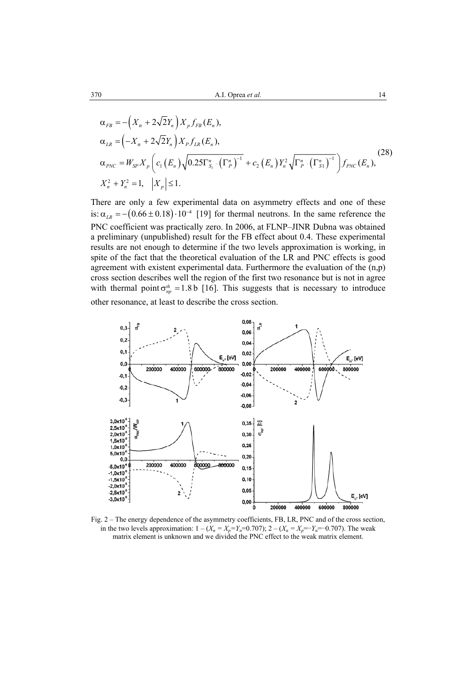$$
\alpha_{FB} = -\left(X_n + 2\sqrt{2}Y_n\right) X_p f_{FB}(E_n),
$$
\n
$$
\alpha_{LR} = \left(-X_n + 2\sqrt{2}Y_n\right) X_p f_{LR}(E_n),
$$
\n
$$
\alpha_{PNC} = W_{SP} X_p \left(c_1 \left(E_n\right) \sqrt{0.25 \Gamma_{S_1}^n \cdot \left(\Gamma_p^n\right)^{-1}} + c_2 \left(E_n\right) Y_n^2 \sqrt{\Gamma_p^n \cdot \left(\Gamma_{S_1}^n\right)^{-1}}\right) f_{PNC}(E_n),
$$
\n
$$
X_n^2 + Y_n^2 = 1, \quad \left|X_p\right| \le 1.
$$
\n(28)

There are only a few experimental data on asymmetry effects and one of these is:  $\alpha_{LR} = -(0.66 \pm 0.18) \cdot 10^{-4}$  [19] for thermal neutrons. In the same reference the PNC coefficient was practically zero. In 2006, at FLNP–JINR Dubna was obtained a preliminary (unpublished) result for the FB effect about 0.4. These experimental results are not enough to determine if the two levels approximation is working, in spite of the fact that the theoretical evaluation of the LR and PNC effects is good agreement with existent experimental data. Furthermore the evaluation of the  $(n,p)$ cross section describes well the region of the first two resonance but is not in agree with thermal point  $\sigma_{np}^{th} = 1.8 \text{ b } [16]$ . This suggests that is necessary to introduce other resonance, at least to describe the cross section.



Fig. 2 – The energy dependence of the asymmetry coefficients, FB, LR, PNC and of the cross section, in the two levels approximation:  $1 - (X_n = X_p = Y_n = 0.707)$ ;  $2 - (X_n = X_p = Y_n = -0.707)$ . The weak matrix element is unknown and we divided the PNC effect to the weak matrix element.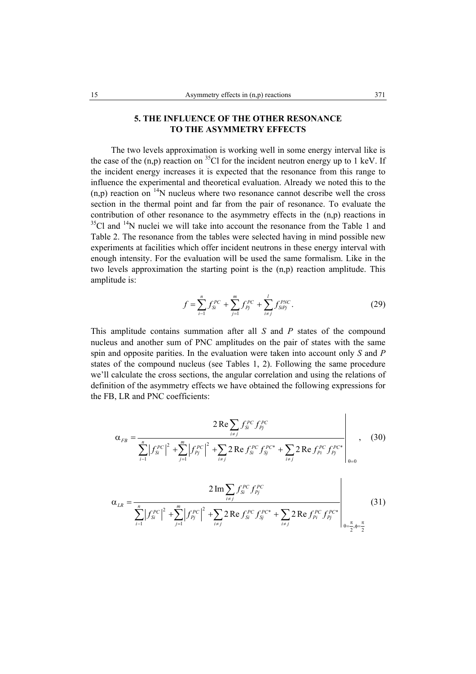# **5. THE INFLUENCE OF THE OTHER RESONANCE TO THE ASYMMETRY EFFECTS**

 The two levels approximation is working well in some energy interval like is the case of the  $(n,p)$  reaction on <sup>35</sup>Cl for the incident neutron energy up to 1 keV. If the incident energy increases it is expected that the resonance from this range to influence the experimental and theoretical evaluation. Already we noted this to the  $(n,p)$  reaction on  $14N$  nucleus where two resonance cannot describe well the cross section in the thermal point and far from the pair of resonance. To evaluate the contribution of other resonance to the asymmetry effects in the (n,p) reactions in  $35^{\circ}$ Cl and  $14^{\circ}$ N nuclei we will take into account the resonance from the Table 1 and Table 2. The resonance from the tables were selected having in mind possible new experiments at facilities which offer incident neutrons in these energy interval with enough intensity. For the evaluation will be used the same formalism. Like in the two levels approximation the starting point is the (n,p) reaction amplitude. This amplitude is:

$$
f = \sum_{i=1}^{n} f_{Si}^{PC} + \sum_{j=1}^{m} f_{Pj}^{PC} + \sum_{i \neq j}^{l} f_{SIPj}^{PNC}.
$$
 (29)

 $\overline{1}$ 

This amplitude contains summation after all *S* and *P* states of the compound nucleus and another sum of PNC amplitudes on the pair of states with the same spin and opposite parities. In the evaluation were taken into account only *S* and *P* states of the compound nucleus (see Tables 1, 2). Following the same procedure we'll calculate the cross sections, the angular correlation and using the relations of definition of the asymmetry effects we have obtained the following expressions for the FB, LR and PNC coefficients:

$$
\alpha_{FB} = \frac{2 \operatorname{Re} \sum_{i \neq j} f_{Si}^{PC} f_{Pj}^{PC}}{\sum_{i=1}^{n} |f_{Si}^{PC}|^{2} + \sum_{j=1}^{m} |f_{Pj}^{PC}|^{2} + \sum_{i \neq j} 2 \operatorname{Re} f_{Si}^{PC} f_{Sj}^{PC*} + \sum_{i \neq j} 2 \operatorname{Re} f_{Pi}^{PC} f_{Pj}^{PC*}}},
$$
(30)

$$
\alpha_{LR} = \frac{2 \operatorname{Im} \sum_{i \neq j} f_{Si}^{PC} f_{Pj}^{PC}}{\sum_{i=1}^{n} |f_{Si}^{PC}|^2 + \sum_{j=1}^{m} |f_{Pj}^{PC}|^2 + \sum_{i \neq j} 2 \operatorname{Re} f_{Si}^{PC} f_{Sj}^{PC*} + \sum_{i \neq j} 2 \operatorname{Re} f_{Pi}^{PC} f_{Pj}^{PC*}}}
$$
(31)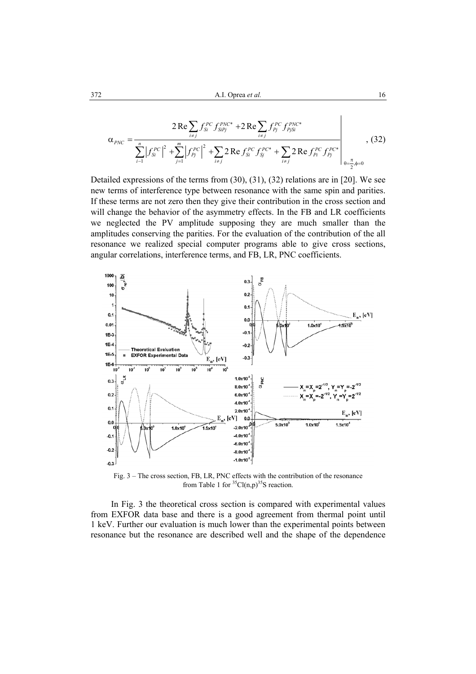$$
\alpha_{PNC} = \frac{2 \operatorname{Re} \sum_{i \neq j} f_{Si}^{PC} f_{Sipj}^{PNC*} + 2 \operatorname{Re} \sum_{i \neq j} f_{Pj}^{PC} f_{PjSi}^{PNC*}}{\sum_{i=1}^{n} |f_{Si}^{PC}|^2 + \sum_{j=1}^{m} |f_{Pj}^{PC}|^2 + \sum_{i \neq j} 2 \operatorname{Re} f_{Si}^{PC} f_{Sj}^{PC*} + \sum_{i \neq j} 2 \operatorname{Re} f_{Pi}^{PC} f_{Pj}^{PC*}} \Bigg|_{\theta = \frac{\pi}{2}, \phi = 0} , (32)
$$

Detailed expressions of the terms from (30), (31), (32) relations are in [20]. We see new terms of interference type between resonance with the same spin and parities. If these terms are not zero then they give their contribution in the cross section and will change the behavior of the asymmetry effects. In the FB and LR coefficients we neglected the PV amplitude supposing they are much smaller than the amplitudes conserving the parities. For the evaluation of the contribution of the all resonance we realized special computer programs able to give cross sections, angular correlations, interference terms, and FB, LR, PNC coefficients.



Fig. 3 – The cross section, FB, LR, PNC effects with the contribution of the resonance from Table 1 for  ${}^{35}Cl(n,p)$ <sup>35</sup>S reaction.

 In Fig. 3 the theoretical cross section is compared with experimental values from EXFOR data base and there is a good agreement from thermal point until 1 keV. Further our evaluation is much lower than the experimental points between resonance but the resonance are described well and the shape of the dependence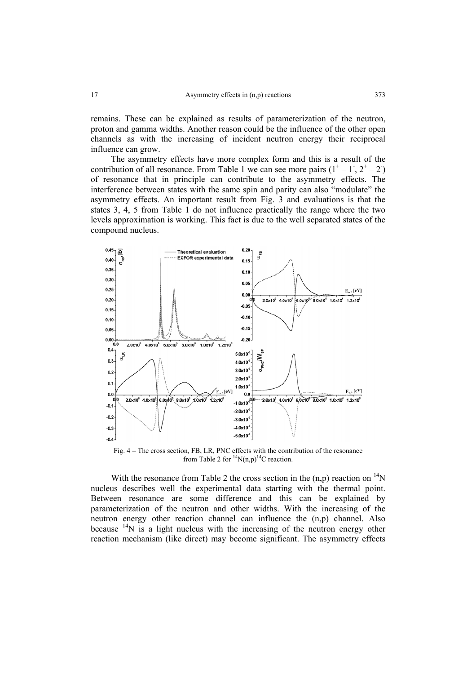remains. These can be explained as results of parameterization of the neutron, proton and gamma widths. Another reason could be the influence of the other open channels as with the increasing of incident neutron energy their reciprocal influence can grow.

 The asymmetry effects have more complex form and this is a result of the contribution of all resonance. From Table 1 we can see more pairs  $(1^+ - 1^-, 2^+ - 2^+)$ of resonance that in principle can contribute to the asymmetry effects. The interference between states with the same spin and parity can also "modulate" the asymmetry effects. An important result from Fig. 3 and evaluations is that the states 3, 4, 5 from Table 1 do not influence practically the range where the two levels approximation is working. This fact is due to the well separated states of the compound nucleus.



Fig. 4 – The cross section, FB, LR, PNC effects with the contribution of the resonance from Table 2 for  ${}^{14}N(n,p)$ <sup>14</sup>C reaction.

With the resonance from Table 2 the cross section in the  $(n,p)$  reaction on  $14N$ nucleus describes well the experimental data starting with the thermal point. Between resonance are some difference and this can be explained by parameterization of the neutron and other widths. With the increasing of the neutron energy other reaction channel can influence the (n,p) channel. Also because  $14N$  is a light nucleus with the increasing of the neutron energy other reaction mechanism (like direct) may become significant. The asymmetry effects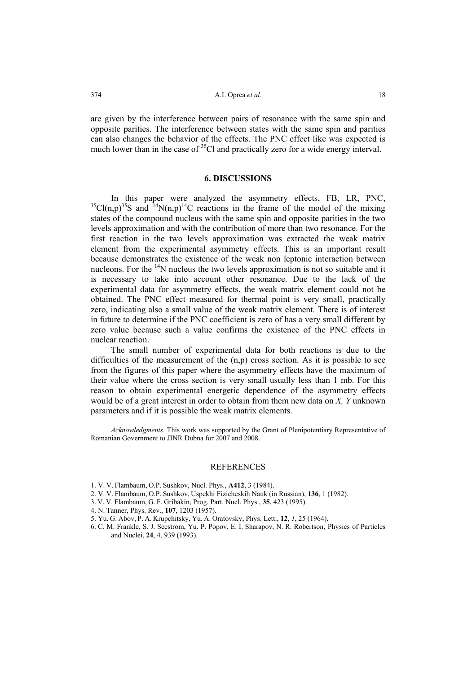are given by the interference between pairs of resonance with the same spin and opposite parities. The interference between states with the same spin and parities can also changes the behavior of the effects. The PNC effect like was expected is much lower than in the case of <sup>35</sup>Cl and practically zero for a wide energy interval.

#### **6. DISCUSSIONS**

In this paper were analyzed the asymmetry effects, FB, LR, PNC,  ${}^{35}Cl(n,p) {}^{35}S$  and  ${}^{14}N(n,p) {}^{14}C$  reactions in the frame of the model of the mixing states of the compound nucleus with the same spin and opposite parities in the two levels approximation and with the contribution of more than two resonance. For the first reaction in the two levels approximation was extracted the weak matrix element from the experimental asymmetry effects. This is an important result because demonstrates the existence of the weak non leptonic interaction between nucleons. For the  $14N$  nucleus the two levels approximation is not so suitable and it is necessary to take into account other resonance. Due to the lack of the experimental data for asymmetry effects, the weak matrix element could not be obtained. The PNC effect measured for thermal point is very small, practically zero, indicating also a small value of the weak matrix element. There is of interest in future to determine if the PNC coefficient is zero of has a very small different by zero value because such a value confirms the existence of the PNC effects in nuclear reaction.

 The small number of experimental data for both reactions is due to the difficulties of the measurement of the  $(n,p)$  cross section. As it is possible to see from the figures of this paper where the asymmetry effects have the maximum of their value where the cross section is very small usually less than 1 mb. For this reason to obtain experimental energetic dependence of the asymmetry effects would be of a great interest in order to obtain from them new data on *X, Y* unknown parameters and if it is possible the weak matrix elements.

*Acknowledgments*. This work was supported by the Grant of Plenipotentiary Representative of Romanian Government to JINR Dubna for 2007 and 2008.

#### REFERENCES

- 1. V. V. Flambaum, O.P. Sushkov, Nucl. Phys., **A412**, 3 (1984).
- 2. V. V. Flambaum, O.P. Sushkov, Uspekhi Fizicheskih Nauk (in Russian), **136**, 1 (1982).
- 3. V. V. Flambaum, G. F. Gribakin, Prog. Part. Nucl. Phys., **35**, 423 (1995).
- 4. N. Tanner, Phys. Rev., **107**, 1203 (1957).
- 5. Yu. G. Abov, P. A. Krupchitsky, Yu. A. Oratovsky, Phys. Lett., **12**, *1*, 25 (1964).
- 6. C. M. Frankle, S. J. Seestrom, Yu. P. Popov, E. I. Sharapov, N. R. Robertson, Physics of Particles and Nuclei, **24**, 4, 939 (1993).